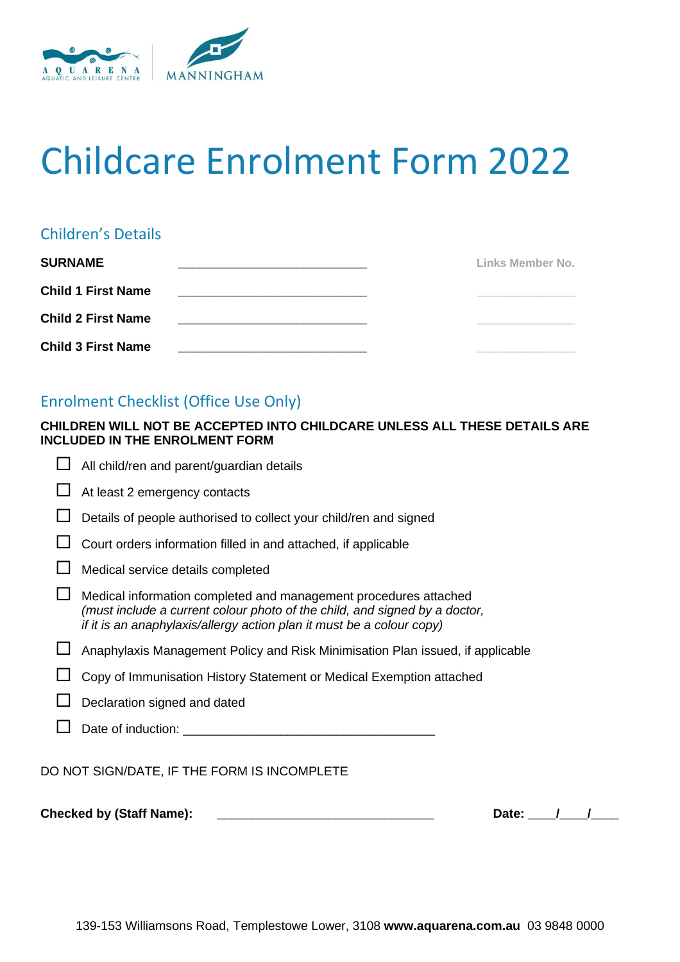

# Childcare Enrolment Form 2022

# Children's Details

| <b>SURNAME</b>            |  | Links Member No. |
|---------------------------|--|------------------|
| <b>Child 1 First Name</b> |  |                  |
| <b>Child 2 First Name</b> |  |                  |
| <b>Child 3 First Name</b> |  |                  |

# Enrolment Checklist (Office Use Only)

## **CHILDREN WILL NOT BE ACCEPTED INTO CHILDCARE UNLESS ALL THESE DETAILS ARE INCLUDED IN THE ENROLMENT FORM**

| <b>Checked by (Staff Name):</b><br>Date: |                                                                                                                                                                                                                         |  |  |  |
|------------------------------------------|-------------------------------------------------------------------------------------------------------------------------------------------------------------------------------------------------------------------------|--|--|--|
|                                          | DO NOT SIGN/DATE, IF THE FORM IS INCOMPLETE                                                                                                                                                                             |  |  |  |
|                                          | Date of induction: example and the state of induction:                                                                                                                                                                  |  |  |  |
|                                          | Declaration signed and dated                                                                                                                                                                                            |  |  |  |
|                                          | Copy of Immunisation History Statement or Medical Exemption attached                                                                                                                                                    |  |  |  |
|                                          | Anaphylaxis Management Policy and Risk Minimisation Plan issued, if applicable                                                                                                                                          |  |  |  |
|                                          | Medical information completed and management procedures attached<br>(must include a current colour photo of the child, and signed by a doctor,<br>if it is an anaphylaxis/allergy action plan it must be a colour copy) |  |  |  |
|                                          | Medical service details completed                                                                                                                                                                                       |  |  |  |
|                                          | Court orders information filled in and attached, if applicable                                                                                                                                                          |  |  |  |
|                                          | Details of people authorised to collect your child/ren and signed                                                                                                                                                       |  |  |  |
|                                          | At least 2 emergency contacts                                                                                                                                                                                           |  |  |  |
|                                          | All child/ren and parent/guardian details                                                                                                                                                                               |  |  |  |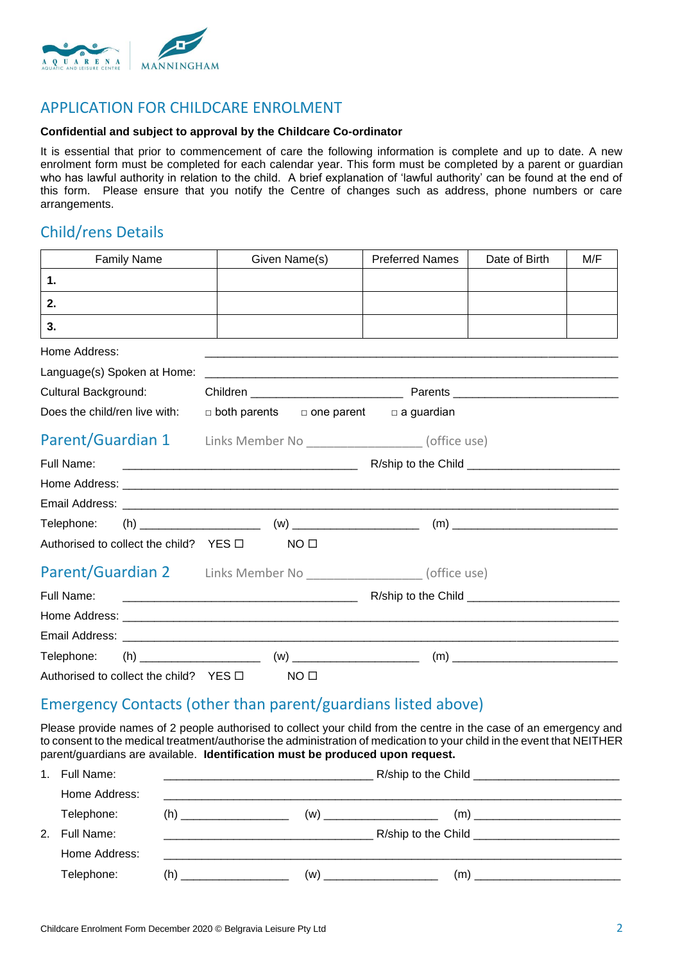

## APPLICATION FOR CHILDCARE ENROLMENT

#### **Confidential and subject to approval by the Childcare Co-ordinator**

It is essential that prior to commencement of care the following information is complete and up to date. A new enrolment form must be completed for each calendar year. This form must be completed by a parent or guardian who has lawful authority in relation to the child. A brief explanation of 'lawful authority' can be found at the end of this form. Please ensure that you notify the Centre of changes such as address, phone numbers or care arrangements.

## Child/rens Details

| <b>Family Name</b>                          |                                                                  | Given Name(s)                                                    | <b>Preferred Names</b>                                  | Date of Birth | M/F |  |
|---------------------------------------------|------------------------------------------------------------------|------------------------------------------------------------------|---------------------------------------------------------|---------------|-----|--|
| 1.                                          |                                                                  |                                                                  |                                                         |               |     |  |
| 2.                                          |                                                                  |                                                                  |                                                         |               |     |  |
| 3.                                          |                                                                  |                                                                  |                                                         |               |     |  |
| Home Address:                               |                                                                  |                                                                  |                                                         |               |     |  |
| Language(s) Spoken at Home:                 |                                                                  |                                                                  |                                                         |               |     |  |
| Cultural Background:                        |                                                                  |                                                                  |                                                         |               |     |  |
| Does the child/ren live with:               |                                                                  |                                                                  | $\Box$ both parents $\Box$ one parent $\Box$ a guardian |               |     |  |
|                                             |                                                                  | Parent/Guardian 1 Links Member No _________________ (office use) |                                                         |               |     |  |
| Full Name:                                  |                                                                  |                                                                  |                                                         |               |     |  |
|                                             |                                                                  |                                                                  |                                                         |               |     |  |
|                                             |                                                                  |                                                                  |                                                         |               |     |  |
| Telephone:                                  |                                                                  |                                                                  |                                                         |               |     |  |
| Authorised to collect the child? $YES \Box$ |                                                                  | NO <sub>0</sub>                                                  |                                                         |               |     |  |
|                                             | Parent/Guardian 2 Links Member No _________________ (office use) |                                                                  |                                                         |               |     |  |
| Full Name:                                  |                                                                  |                                                                  |                                                         |               |     |  |
|                                             |                                                                  |                                                                  |                                                         |               |     |  |
|                                             |                                                                  |                                                                  |                                                         |               |     |  |
| Telephone:                                  |                                                                  |                                                                  |                                                         |               |     |  |
| Authorised to collect the child? YES $\Box$ |                                                                  | NO <sub>1</sub>                                                  |                                                         |               |     |  |

## Emergency Contacts (other than parent/guardians listed above)

Please provide names of 2 people authorised to collect your child from the centre in the case of an emergency and to consent to the medical treatment/authorise the administration of medication to your child in the event that NEITHER parent/guardians are available. **Identification must be produced upon request.**

| $1_{-}$       | Full Name:    |                                                        |     | R/ship to the Child <b>Child Child R/ship to the Child</b> |
|---------------|---------------|--------------------------------------------------------|-----|------------------------------------------------------------|
|               | Home Address: |                                                        |     |                                                            |
|               | Telephone:    | (h)<br>the contract of the contract of the contract of | (w) | (m)                                                        |
| $\mathcal{P}$ | Full Name:    |                                                        |     |                                                            |
|               | Home Address: |                                                        |     |                                                            |
|               | Telephone:    | (h)<br>the control of the control of the control of    | (w) | (m)                                                        |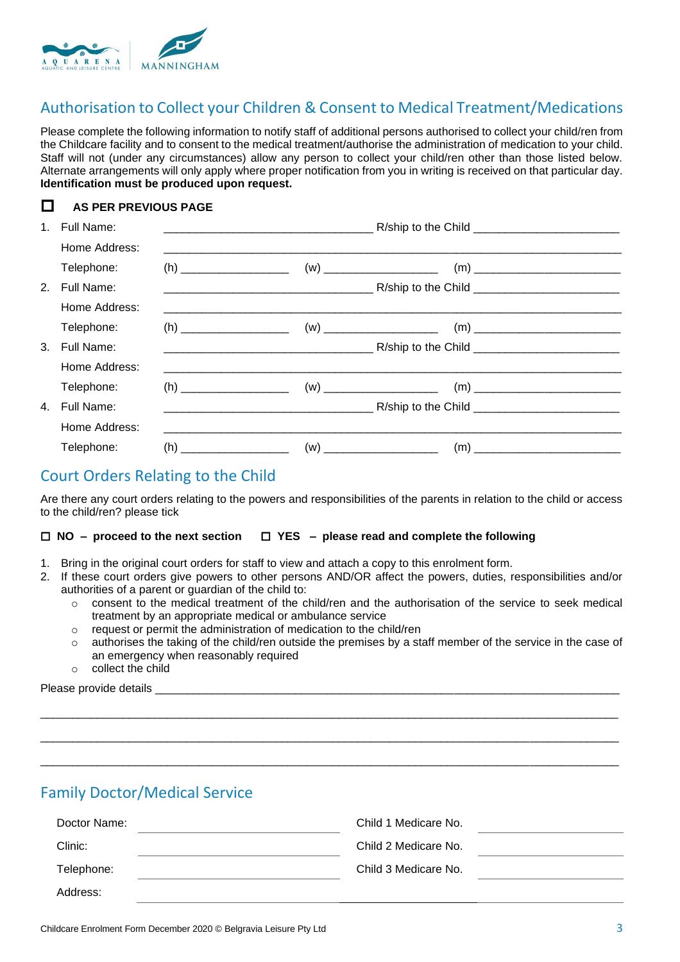

## Authorisation to Collect your Children & Consent to Medical Treatment/Medications

Please complete the following information to notify staff of additional persons authorised to collect your child/ren from the Childcare facility and to consent to the medical treatment/authorise the administration of medication to your child. Staff will not (under any circumstances) allow any person to collect your child/ren other than those listed below. Alternate arrangements will only apply where proper notification from you in writing is received on that particular day. **Identification must be produced upon request.**

### **AS PER PREVIOUS PAGE**

| 1. | Full Name:    |                                                                                                                      |  |  |
|----|---------------|----------------------------------------------------------------------------------------------------------------------|--|--|
|    | Home Address: |                                                                                                                      |  |  |
|    | Telephone:    |                                                                                                                      |  |  |
| 2. | Full Name:    |                                                                                                                      |  |  |
|    | Home Address: |                                                                                                                      |  |  |
|    | Telephone:    |                                                                                                                      |  |  |
| 3. | Full Name:    |                                                                                                                      |  |  |
|    | Home Address: | <u> 1990 - Jan Jan James, maria menyebarkan berasalan berasal dalam berasal dalam persebut dalam persebut dalam </u> |  |  |
|    | Telephone:    |                                                                                                                      |  |  |
| 4. | Full Name:    |                                                                                                                      |  |  |
|    | Home Address: |                                                                                                                      |  |  |
|    | Telephone:    |                                                                                                                      |  |  |

## Court Orders Relating to the Child

Are there any court orders relating to the powers and responsibilities of the parents in relation to the child or access to the child/ren? please tick

#### **NO – proceed to the next section YES – please read and complete the following**

- 1. Bring in the original court orders for staff to view and attach a copy to this enrolment form.
- 2. If these court orders give powers to other persons AND/OR affect the powers, duties, responsibilities and/or authorities of a parent or guardian of the child to:
	- $\circ$  consent to the medical treatment of the child/ren and the authorisation of the service to seek medical treatment by an appropriate medical or ambulance service
	- o request or permit the administration of medication to the child/ren
	- o authorises the taking of the child/ren outside the premises by a staff member of the service in the case of an emergency when reasonably required

 $\_$  ,  $\_$  ,  $\_$  ,  $\_$  ,  $\_$  ,  $\_$  ,  $\_$  ,  $\_$  ,  $\_$  ,  $\_$  ,  $\_$  ,  $\_$  ,  $\_$  ,  $\_$  ,  $\_$  ,  $\_$  ,  $\_$  ,  $\_$  ,  $\_$  ,  $\_$  ,  $\_$  ,  $\_$  ,  $\_$  ,  $\_$  ,  $\_$  ,  $\_$  ,  $\_$  ,  $\_$  ,  $\_$  ,  $\_$  ,  $\_$  ,  $\_$  ,  $\_$  ,  $\_$  ,  $\_$  ,  $\_$  ,  $\_$  ,

 $\_$  ,  $\_$  ,  $\_$  ,  $\_$  ,  $\_$  ,  $\_$  ,  $\_$  ,  $\_$  ,  $\_$  ,  $\_$  ,  $\_$  ,  $\_$  ,  $\_$  ,  $\_$  ,  $\_$  ,  $\_$  ,  $\_$  ,  $\_$  ,  $\_$  ,  $\_$  ,  $\_$  ,  $\_$  ,  $\_$  ,  $\_$  ,  $\_$  ,  $\_$  ,  $\_$  ,  $\_$  ,  $\_$  ,  $\_$  ,  $\_$  ,  $\_$  ,  $\_$  ,  $\_$  ,  $\_$  ,  $\_$  ,  $\_$  ,

\_\_\_\_\_\_\_\_\_\_\_\_\_\_\_\_\_\_\_\_\_\_\_\_\_\_\_\_\_\_\_\_\_\_\_\_\_\_\_\_\_\_\_\_\_\_\_\_\_\_\_\_\_\_\_\_\_\_\_\_\_\_\_\_\_\_\_\_\_\_\_\_\_\_\_\_\_\_\_\_\_\_\_\_\_\_\_\_\_\_\_

o collect the child

Please provide details

Family Doctor/Medical Service

| Doctor Name: | Child 1 Medicare No. |  |
|--------------|----------------------|--|
| Clinic:      | Child 2 Medicare No. |  |
| Telephone:   | Child 3 Medicare No. |  |
| Address:     |                      |  |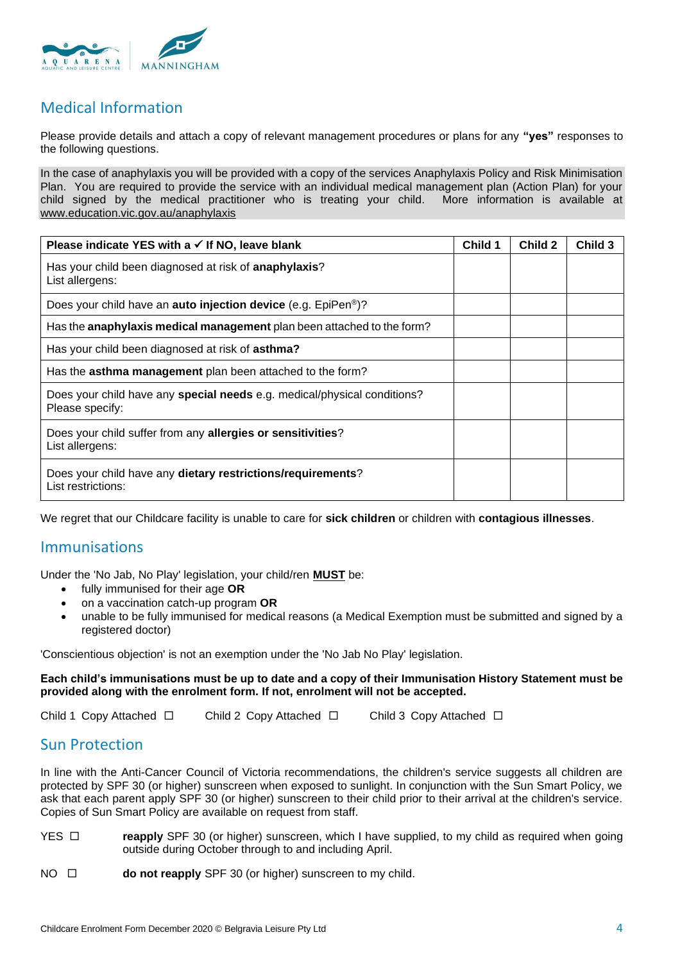

# Medical Information

Please provide details and attach a copy of relevant management procedures or plans for any **"yes"** responses to the following questions.

In the case of anaphylaxis you will be provided with a copy of the services Anaphylaxis Policy and Risk Minimisation Plan. You are required to provide the service with an individual medical management plan (Action Plan) for your<br>child signed by the medical practitioner who is treating your child. More information is available at child signed by the medical practitioner who is treating your child. [www.education.vic.gov.au/anaphylaxis](http://www.education.vic.gov.au/anaphylaxis)

| Please indicate YES with a $\checkmark$ If NO, leave blank                                         | Child 1 | Child 2 | Child 3 |
|----------------------------------------------------------------------------------------------------|---------|---------|---------|
| Has your child been diagnosed at risk of anaphylaxis?<br>List allergens:                           |         |         |         |
| Does your child have an <b>auto injection device</b> (e.g. EpiPen <sup>®</sup> )?                  |         |         |         |
| Has the anaphylaxis medical management plan been attached to the form?                             |         |         |         |
| Has your child been diagnosed at risk of asthma?                                                   |         |         |         |
| Has the asthma management plan been attached to the form?                                          |         |         |         |
| Does your child have any <b>special needs</b> e.g. medical/physical conditions?<br>Please specify: |         |         |         |
| Does your child suffer from any allergies or sensitivities?<br>List allergens:                     |         |         |         |
| Does your child have any dietary restrictions/requirements?<br>List restrictions:                  |         |         |         |

We regret that our Childcare facility is unable to care for **sick children** or children with **contagious illnesses**.

## Immunisations

Under the 'No Jab, No Play' legislation, your child/ren **MUST** be:

- fully immunised for their age **OR**
- on a vaccination catch-up program **OR**
- unable to be fully immunised for medical reasons (a Medical Exemption must be submitted and signed by a registered doctor)

'Conscientious objection' is not an exemption under the 'No Jab No Play' legislation.

#### **Each child's immunisations must be up to date and a copy of their Immunisation History Statement must be provided along with the enrolment form. If not, enrolment will not be accepted.**

Child 1 Copy Attached  $\square$  Child 2 Copy Attached  $\square$  Child 3 Copy Attached  $\square$ 

## Sun Protection

In line with the Anti-Cancer Council of Victoria recommendations, the children's service suggests all children are protected by SPF 30 (or higher) sunscreen when exposed to sunlight. In conjunction with the Sun Smart Policy, we ask that each parent apply SPF 30 (or higher) sunscreen to their child prior to their arrival at the children's service. Copies of Sun Smart Policy are available on request from staff.

- YES **reapply** SPF 30 (or higher) sunscreen, which I have supplied, to my child as required when going outside during October through to and including April.
- NO □ **do not reapply** SPF 30 (or higher) sunscreen to my child.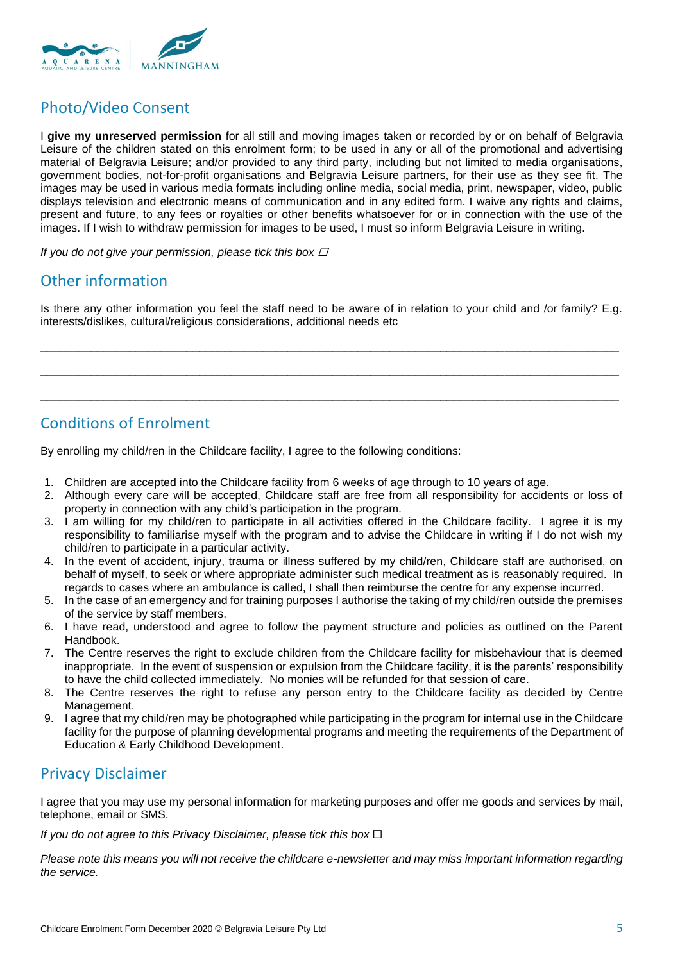

# Photo/Video Consent

I **give my unreserved permission** for all still and moving images taken or recorded by or on behalf of Belgravia Leisure of the children stated on this enrolment form; to be used in any or all of the promotional and advertising material of Belgravia Leisure; and/or provided to any third party, including but not limited to media organisations, government bodies, not-for-profit organisations and Belgravia Leisure partners, for their use as they see fit. The images may be used in various media formats including online media, social media, print, newspaper, video, public displays television and electronic means of communication and in any edited form. I waive any rights and claims, present and future, to any fees or royalties or other benefits whatsoever for or in connection with the use of the images. If I wish to withdraw permission for images to be used, I must so inform Belgravia Leisure in writing.

*If you do not give your permission, please tick this box*

# Other information

Is there any other information you feel the staff need to be aware of in relation to your child and /or family? E.g. interests/dislikes, cultural/religious considerations, additional needs etc

\_\_\_\_\_\_\_\_\_\_\_\_\_\_\_\_\_\_\_\_\_\_\_\_\_\_\_\_\_\_\_\_\_\_\_\_\_\_\_\_\_\_\_\_\_\_\_\_\_\_\_\_\_\_\_\_\_\_\_\_\_\_\_\_\_\_\_\_\_\_\_\_\_\_\_\_\_\_\_\_\_\_\_\_\_\_\_\_\_\_\_

\_\_\_\_\_\_\_\_\_\_\_\_\_\_\_\_\_\_\_\_\_\_\_\_\_\_\_\_\_\_\_\_\_\_\_\_\_\_\_\_\_\_\_\_\_\_\_\_\_\_\_\_\_\_\_\_\_\_\_\_\_\_\_\_\_\_\_\_\_\_\_\_\_\_\_\_\_\_\_\_\_\_\_\_\_\_\_\_\_\_\_

\_\_\_\_\_\_\_\_\_\_\_\_\_\_\_\_\_\_\_\_\_\_\_\_\_\_\_\_\_\_\_\_\_\_\_\_\_\_\_\_\_\_\_\_\_\_\_\_\_\_\_\_\_\_\_\_\_\_\_\_\_\_\_\_\_\_\_\_\_\_\_\_\_\_\_\_\_\_\_\_\_\_\_\_\_\_\_\_\_\_\_

# Conditions of Enrolment

By enrolling my child/ren in the Childcare facility, I agree to the following conditions:

- 1. Children are accepted into the Childcare facility from 6 weeks of age through to 10 years of age.
- 2. Although every care will be accepted, Childcare staff are free from all responsibility for accidents or loss of property in connection with any child's participation in the program.
- 3. I am willing for my child/ren to participate in all activities offered in the Childcare facility. I agree it is my responsibility to familiarise myself with the program and to advise the Childcare in writing if I do not wish my child/ren to participate in a particular activity.
- 4. In the event of accident, injury, trauma or illness suffered by my child/ren, Childcare staff are authorised, on behalf of myself, to seek or where appropriate administer such medical treatment as is reasonably required. In regards to cases where an ambulance is called, I shall then reimburse the centre for any expense incurred.
- 5. In the case of an emergency and for training purposes I authorise the taking of my child/ren outside the premises of the service by staff members.
- 6. I have read, understood and agree to follow the payment structure and policies as outlined on the Parent Handbook.
- 7. The Centre reserves the right to exclude children from the Childcare facility for misbehaviour that is deemed inappropriate. In the event of suspension or expulsion from the Childcare facility, it is the parents' responsibility to have the child collected immediately. No monies will be refunded for that session of care.
- 8. The Centre reserves the right to refuse any person entry to the Childcare facility as decided by Centre Management.
- 9. I agree that my child/ren may be photographed while participating in the program for internal use in the Childcare facility for the purpose of planning developmental programs and meeting the requirements of the Department of Education & Early Childhood Development.

## Privacy Disclaimer

I agree that you may use my personal information for marketing purposes and offer me goods and services by mail, telephone, email or SMS.

*If you do not agree to this Privacy Disclaimer, please tick this box* 

*Please note this means you will not receive the childcare e-newsletter and may miss important information regarding the service.*